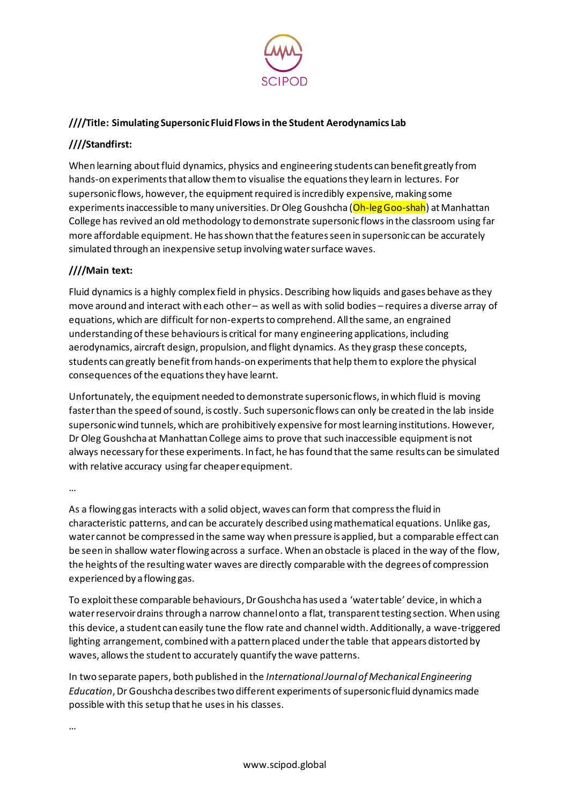

### **////Title: Simulating Supersonic Fluid Flows in the Student Aerodynamics Lab**

# **////Standfirst:**

When learning about fluid dynamics, physics and engineering students can benefit greatly from hands-on experiments that allow them to visualise the equations they learn in lectures. For supersonic flows, however, the equipment required is incredibly expensive, making some experiments inaccessible to many universities. Dr Oleg Goushcha (Oh-leg Goo-shah) at Manhattan College has revived an old methodology to demonstrate supersonic flowsin the classroom using far more affordable equipment. He has shown that the features seen in supersonic can be accurately simulated through an inexpensive setup involving water surface waves.

# **////Main text:**

Fluid dynamics is a highly complex field in physics. Describing how liquids and gases behave as they move around and interact with each other – as well as with solid bodies – requires a diverse array of equations, which are difficult for non-experts to comprehend. All the same, an engrained understanding of these behaviours is critical for many engineering applications, including aerodynamics, aircraft design, propulsion, and flight dynamics. As they grasp these concepts, students can greatly benefit from hands-on experiments that help them to explore the physical consequences of the equations they have learnt.

Unfortunately, the equipment needed to demonstrate supersonic flows, in which fluid is moving faster than the speed of sound, is costly. Such supersonic flows can only be created in the lab inside supersonic wind tunnels, which are prohibitively expensive for mostlearning institutions. However, Dr Oleg Goushcha at Manhattan College aims to prove that such inaccessible equipment is not always necessary for these experiments. In fact, he has found thatthe same results can be simulated with relative accuracy using far cheaper equipment.

…

As a flowing gas interacts with a solid object, waves can form that compress the fluid in characteristic patterns, and can be accurately described using mathematical equations. Unlike gas, water cannot be compressed in the same way when pressure is applied, but a comparable effect can be seen in shallow water flowing across a surface. When an obstacle is placed in the way of the flow, the heights of the resulting water waves are directly comparable with the degrees of compression experienced by a flowing gas.

To exploit these comparable behaviours, Dr Goushcha has used a 'water table' device, in which a water reservoir drains through a narrow channel onto a flat, transparent testing section. When using this device, a student can easily tune the flow rate and channel width. Additionally, a wave-triggered lighting arrangement, combined with a pattern placed under the table that appears distorted by waves, allows the student to accurately quantify the wave patterns.

In two separate papers, both published in the *International Journal of Mechanical Engineering Education*, Dr Goushcha describes two different experiments of supersonic fluid dynamics made possible with this setup that he usesin his classes.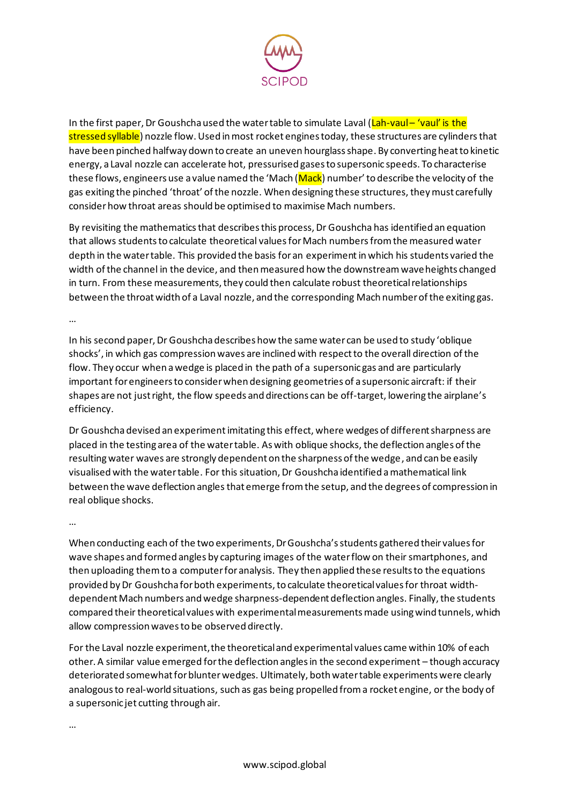

In the first paper, Dr Goushcha used the water table to simulate Laval (Lah-vaul– 'vaul' is the stressed syllable) nozzle flow. Used in most rocket engines today, these structures are cylinders that have been pinched halfway down to create an uneven hourglass shape. By converting heat to kinetic energy, a Laval nozzle can accelerate hot, pressurised gases to supersonic speeds. To characterise these flows, engineers use a value named the 'Mach (Mack) number' to describe the velocity of the gas exiting the pinched 'throat' of the nozzle. When designing these structures, theymust carefully consider how throat areas should be optimised to maximise Mach numbers.

By revisiting the mathematicsthat describesthis process, Dr Goushcha has identified an equation that allows students to calculate theoretical values for Mach numbers from the measured water depth in the water table. This provided the basis for an experiment in which his students varied the width of the channel in the device, and then measured how the downstream wave heights changed in turn. From these measurements, they could then calculate robust theoretical relationships between the throat width of a Laval nozzle, and the corresponding Mach number of the exiting gas.

…

In his second paper, Dr Goushcha describes how the same water can be used to study 'oblique shocks', in which gas compression waves are inclined with respect to the overall direction of the flow. They occur when a wedge is placed in the path of a supersonic gas and are particularly important for engineers to consider when designing geometries of a supersonic aircraft: if their shapes are not just right, the flow speeds and directions can be off-target, lowering the airplane's efficiency.

Dr Goushcha devised an experiment imitating this effect, where wedges of different sharpness are placed in the testing area of the water table. As with oblique shocks, the deflection angles of the resulting water waves are strongly dependent on the sharpness of the wedge, and can be easily visualised with the water table. For this situation, Dr Goushcha identified a mathematical link between the wave deflection angles that emerge from the setup, and the degrees of compression in real oblique shocks.

…

When conducting each of the two experiments, Dr Goushcha's students gathered their values for wave shapes and formed angles by capturing images of the water flow on their smartphones, and then uploading them to a computer for analysis. They then applied these results to the equations provided by Dr Goushcha for both experiments, to calculate theoretical values for throat widthdependent Mach numbers and wedge sharpness-dependent deflection angles. Finally, the students compared their theoretical values with experimental measurements made using wind tunnels, which allow compression waves to be observed directly.

For the Laval nozzle experiment, the theoretical and experimental values came within 10% of each other. A similar value emerged for the deflection angles in the second experiment – though accuracy deteriorated somewhat for blunter wedges. Ultimately, both water table experiments were clearly analogous to real-world situations, such as gas being propelled from a rocket engine, or the body of a supersonic jet cutting through air.